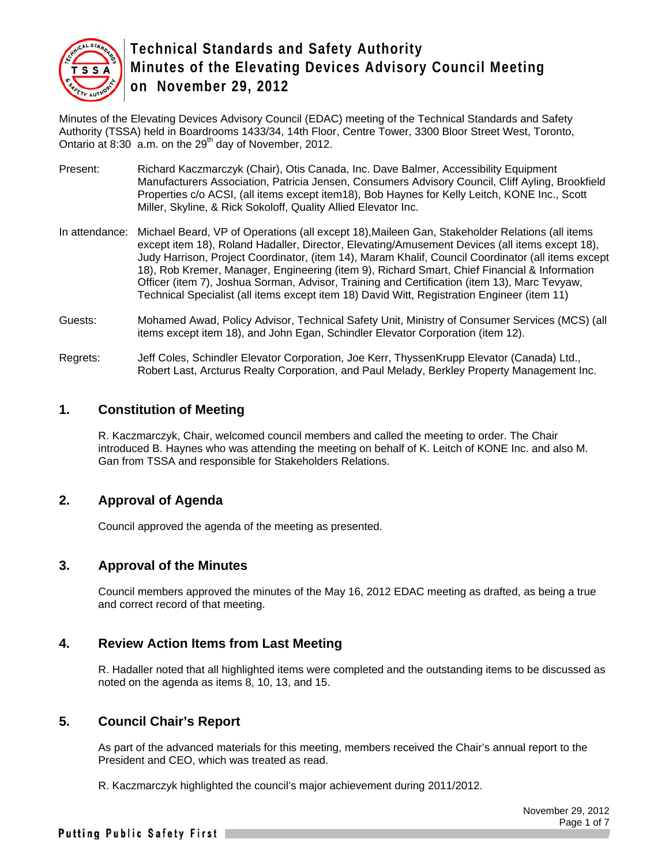

Minutes of the Elevating Devices Advisory Council (EDAC) meeting of the Technical Standards and Safety Authority (TSSA) held in Boardrooms 1433/34, 14th Floor, Centre Tower, 3300 Bloor Street West, Toronto, Ontario at  $8:30$  a.m. on the  $29<sup>th</sup>$  day of November, 2012.

- Present: Richard Kaczmarczyk (Chair), Otis Canada, Inc. Dave Balmer, Accessibility Equipment Manufacturers Association, Patricia Jensen, Consumers Advisory Council, Cliff Ayling, Brookfield Properties c/o ACSI, (all items except item18), Bob Haynes for Kelly Leitch, KONE Inc., Scott Miller, Skyline, & Rick Sokoloff, Quality Allied Elevator Inc.
- In attendance: Michael Beard, VP of Operations (all except 18),Maileen Gan, Stakeholder Relations (all items except item 18), Roland Hadaller, Director, Elevating/Amusement Devices (all items except 18), Judy Harrison, Project Coordinator, (item 14), Maram Khalif, Council Coordinator (all items except 18), Rob Kremer, Manager, Engineering (item 9), Richard Smart, Chief Financial & Information Officer (item 7), Joshua Sorman, Advisor, Training and Certification (item 13), Marc Tevyaw, Technical Specialist (all items except item 18) David Witt, Registration Engineer (item 11)
- Guests: Mohamed Awad, Policy Advisor, Technical Safety Unit, Ministry of Consumer Services (MCS) (all items except item 18), and John Egan, Schindler Elevator Corporation (item 12).
- Regrets: Jeff Coles, Schindler Elevator Corporation, Joe Kerr, ThyssenKrupp Elevator (Canada) Ltd., Robert Last, Arcturus Realty Corporation, and Paul Melady, Berkley Property Management Inc.

## **1. Constitution of Meeting**

R. Kaczmarczyk, Chair, welcomed council members and called the meeting to order. The Chair introduced B. Haynes who was attending the meeting on behalf of K. Leitch of KONE Inc. and also M. Gan from TSSA and responsible for Stakeholders Relations.

### **2. Approval of Agenda**

Council approved the agenda of the meeting as presented.

### **3. Approval of the Minutes**

Council members approved the minutes of the May 16, 2012 EDAC meeting as drafted, as being a true and correct record of that meeting.

### **4. Review Action Items from Last Meeting**

R. Hadaller noted that all highlighted items were completed and the outstanding items to be discussed as noted on the agenda as items 8, 10, 13, and 15.

### **5. Council Chair's Report**

As part of the advanced materials for this meeting, members received the Chair's annual report to the President and CEO, which was treated as read.

R. Kaczmarczyk highlighted the council's major achievement during 2011/2012.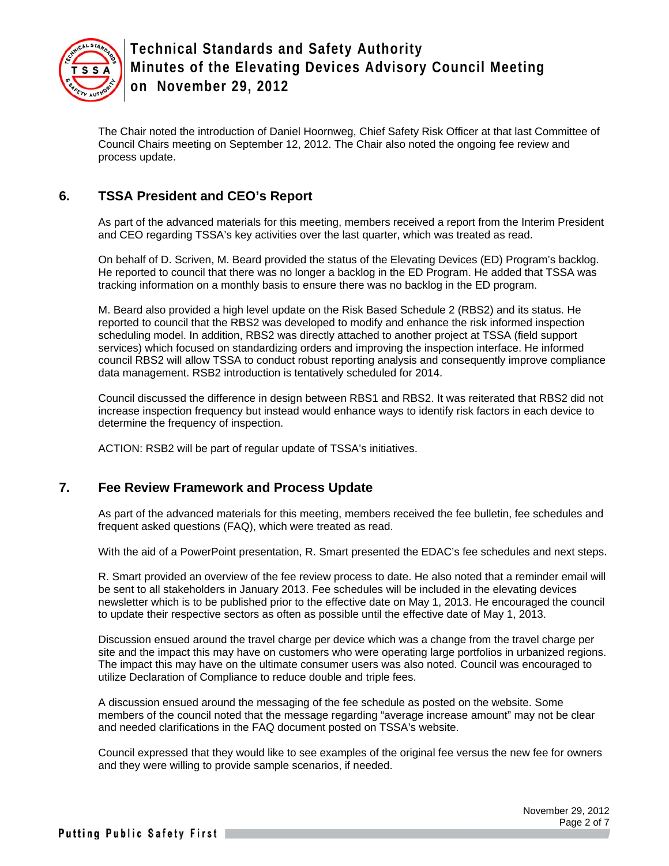

The Chair noted the introduction of Daniel Hoornweg, Chief Safety Risk Officer at that last Committee of Council Chairs meeting on September 12, 2012. The Chair also noted the ongoing fee review and process update.

## **6. TSSA President and CEO's Report**

As part of the advanced materials for this meeting, members received a report from the Interim President and CEO regarding TSSA's key activities over the last quarter, which was treated as read.

On behalf of D. Scriven, M. Beard provided the status of the Elevating Devices (ED) Program's backlog. He reported to council that there was no longer a backlog in the ED Program. He added that TSSA was tracking information on a monthly basis to ensure there was no backlog in the ED program.

M. Beard also provided a high level update on the Risk Based Schedule 2 (RBS2) and its status. He reported to council that the RBS2 was developed to modify and enhance the risk informed inspection scheduling model. In addition, RBS2 was directly attached to another project at TSSA (field support services) which focused on standardizing orders and improving the inspection interface. He informed council RBS2 will allow TSSA to conduct robust reporting analysis and consequently improve compliance data management. RSB2 introduction is tentatively scheduled for 2014.

Council discussed the difference in design between RBS1 and RBS2. It was reiterated that RBS2 did not increase inspection frequency but instead would enhance ways to identify risk factors in each device to determine the frequency of inspection.

ACTION: RSB2 will be part of regular update of TSSA's initiatives.

## **7. Fee Review Framework and Process Update**

As part of the advanced materials for this meeting, members received the fee bulletin, fee schedules and frequent asked questions (FAQ), which were treated as read.

With the aid of a PowerPoint presentation, R. Smart presented the EDAC's fee schedules and next steps.

R. Smart provided an overview of the fee review process to date. He also noted that a reminder email will be sent to all stakeholders in January 2013. Fee schedules will be included in the elevating devices newsletter which is to be published prior to the effective date on May 1, 2013. He encouraged the council to update their respective sectors as often as possible until the effective date of May 1, 2013.

Discussion ensued around the travel charge per device which was a change from the travel charge per site and the impact this may have on customers who were operating large portfolios in urbanized regions. The impact this may have on the ultimate consumer users was also noted. Council was encouraged to utilize Declaration of Compliance to reduce double and triple fees.

A discussion ensued around the messaging of the fee schedule as posted on the website. Some members of the council noted that the message regarding "average increase amount" may not be clear and needed clarifications in the FAQ document posted on TSSA's website.

Council expressed that they would like to see examples of the original fee versus the new fee for owners and they were willing to provide sample scenarios, if needed.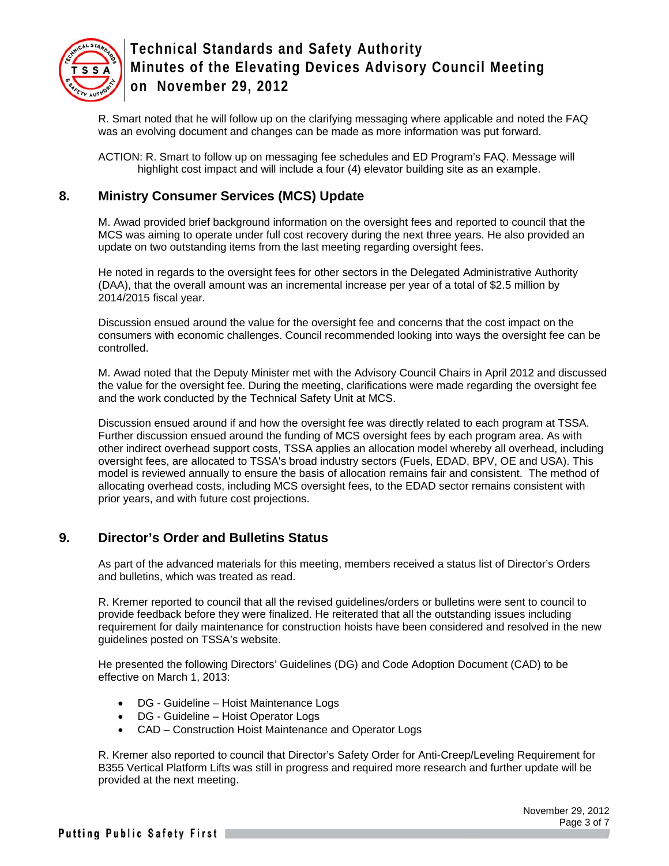

R. Smart noted that he will follow up on the clarifying messaging where applicable and noted the FAQ was an evolving document and changes can be made as more information was put forward.

ACTION: R. Smart to follow up on messaging fee schedules and ED Program's FAQ. Message will highlight cost impact and will include a four (4) elevator building site as an example.

## **8. Ministry Consumer Services (MCS) Update**

M. Awad provided brief background information on the oversight fees and reported to council that the MCS was aiming to operate under full cost recovery during the next three years. He also provided an update on two outstanding items from the last meeting regarding oversight fees.

He noted in regards to the oversight fees for other sectors in the Delegated Administrative Authority (DAA), that the overall amount was an incremental increase per year of a total of \$2.5 million by 2014/2015 fiscal year.

Discussion ensued around the value for the oversight fee and concerns that the cost impact on the consumers with economic challenges. Council recommended looking into ways the oversight fee can be controlled.

M. Awad noted that the Deputy Minister met with the Advisory Council Chairs in April 2012 and discussed the value for the oversight fee. During the meeting, clarifications were made regarding the oversight fee and the work conducted by the Technical Safety Unit at MCS.

Discussion ensued around if and how the oversight fee was directly related to each program at TSSA. Further discussion ensued around the funding of MCS oversight fees by each program area. As with other indirect overhead support costs, TSSA applies an allocation model whereby all overhead, including oversight fees, are allocated to TSSA's broad industry sectors (Fuels, EDAD, BPV, OE and USA). This model is reviewed annually to ensure the basis of allocation remains fair and consistent. The method of allocating overhead costs, including MCS oversight fees, to the EDAD sector remains consistent with prior years, and with future cost projections.

### **9. Director's Order and Bulletins Status**

As part of the advanced materials for this meeting, members received a status list of Director's Orders and bulletins, which was treated as read.

R. Kremer reported to council that all the revised guidelines/orders or bulletins were sent to council to provide feedback before they were finalized. He reiterated that all the outstanding issues including requirement for daily maintenance for construction hoists have been considered and resolved in the new guidelines posted on TSSA's website.

He presented the following Directors' Guidelines (DG) and Code Adoption Document (CAD) to be effective on March 1, 2013:

- DG Guideline Hoist Maintenance Logs
- DG Guideline Hoist Operator Logs
- CAD Construction Hoist Maintenance and Operator Logs

R. Kremer also reported to council that Director's Safety Order for Anti-Creep/Leveling Requirement for B355 Vertical Platform Lifts was still in progress and required more research and further update will be provided at the next meeting.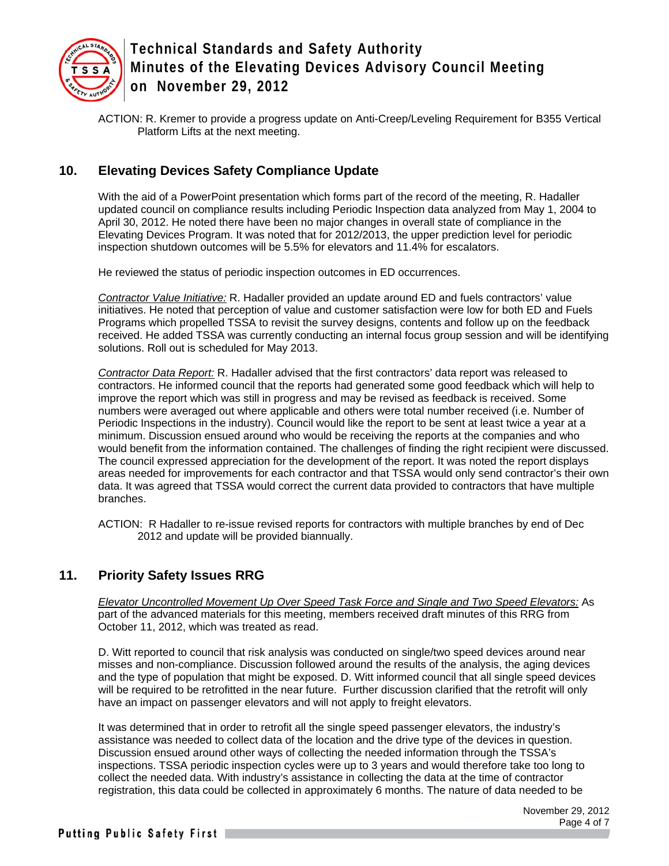

ACTION: R. Kremer to provide a progress update on Anti-Creep/Leveling Requirement for B355 Vertical Platform Lifts at the next meeting.

## **10. Elevating Devices Safety Compliance Update**

With the aid of a PowerPoint presentation which forms part of the record of the meeting, R. Hadaller updated council on compliance results including Periodic Inspection data analyzed from May 1, 2004 to April 30, 2012. He noted there have been no major changes in overall state of compliance in the Elevating Devices Program. It was noted that for 2012/2013, the upper prediction level for periodic inspection shutdown outcomes will be 5.5% for elevators and 11.4% for escalators.

He reviewed the status of periodic inspection outcomes in ED occurrences.

*Contractor Value Initiative:* R. Hadaller provided an update around ED and fuels contractors' value initiatives. He noted that perception of value and customer satisfaction were low for both ED and Fuels Programs which propelled TSSA to revisit the survey designs, contents and follow up on the feedback received. He added TSSA was currently conducting an internal focus group session and will be identifying solutions. Roll out is scheduled for May 2013.

*Contractor Data Report:* R. Hadaller advised that the first contractors' data report was released to contractors. He informed council that the reports had generated some good feedback which will help to improve the report which was still in progress and may be revised as feedback is received. Some numbers were averaged out where applicable and others were total number received (i.e. Number of Periodic Inspections in the industry). Council would like the report to be sent at least twice a year at a minimum. Discussion ensued around who would be receiving the reports at the companies and who would benefit from the information contained. The challenges of finding the right recipient were discussed. The council expressed appreciation for the development of the report. It was noted the report displays areas needed for improvements for each contractor and that TSSA would only send contractor's their own data. It was agreed that TSSA would correct the current data provided to contractors that have multiple branches.

ACTION: R Hadaller to re-issue revised reports for contractors with multiple branches by end of Dec 2012 and update will be provided biannually.

## **11. Priority Safety Issues RRG**

*Elevator Uncontrolled Movement Up Over Speed Task Force and Single and Two Speed Elevators:* As part of the advanced materials for this meeting, members received draft minutes of this RRG from October 11, 2012, which was treated as read.

D. Witt reported to council that risk analysis was conducted on single/two speed devices around near misses and non-compliance. Discussion followed around the results of the analysis, the aging devices and the type of population that might be exposed. D. Witt informed council that all single speed devices will be required to be retrofitted in the near future. Further discussion clarified that the retrofit will only have an impact on passenger elevators and will not apply to freight elevators.

It was determined that in order to retrofit all the single speed passenger elevators, the industry's assistance was needed to collect data of the location and the drive type of the devices in question. Discussion ensued around other ways of collecting the needed information through the TSSA's inspections. TSSA periodic inspection cycles were up to 3 years and would therefore take too long to collect the needed data. With industry's assistance in collecting the data at the time of contractor registration, this data could be collected in approximately 6 months. The nature of data needed to be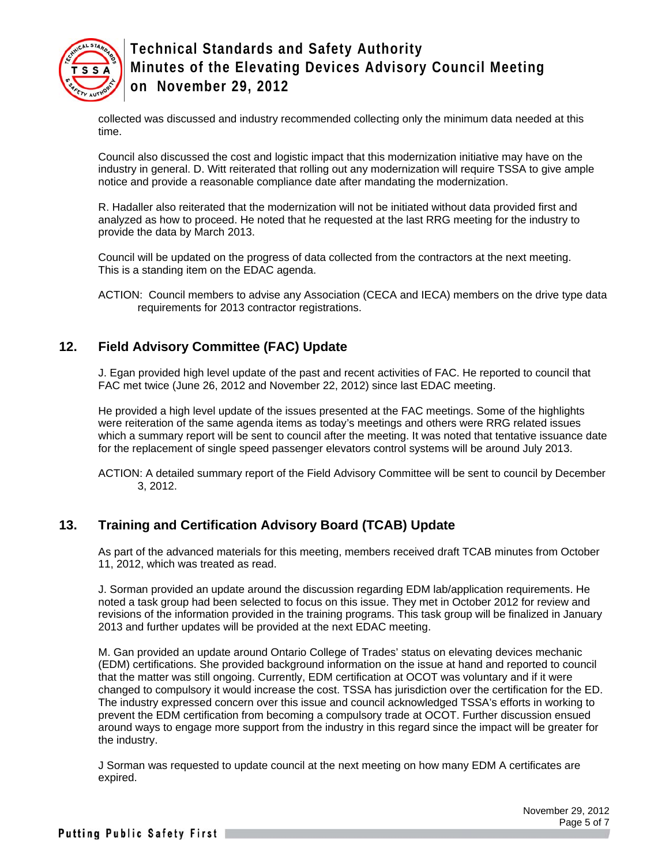

collected was discussed and industry recommended collecting only the minimum data needed at this time.

Council also discussed the cost and logistic impact that this modernization initiative may have on the industry in general. D. Witt reiterated that rolling out any modernization will require TSSA to give ample notice and provide a reasonable compliance date after mandating the modernization.

R. Hadaller also reiterated that the modernization will not be initiated without data provided first and analyzed as how to proceed. He noted that he requested at the last RRG meeting for the industry to provide the data by March 2013.

Council will be updated on the progress of data collected from the contractors at the next meeting. This is a standing item on the EDAC agenda.

ACTION: Council members to advise any Association (CECA and IECA) members on the drive type data requirements for 2013 contractor registrations.

## **12. Field Advisory Committee (FAC) Update**

J. Egan provided high level update of the past and recent activities of FAC. He reported to council that FAC met twice (June 26, 2012 and November 22, 2012) since last EDAC meeting.

He provided a high level update of the issues presented at the FAC meetings. Some of the highlights were reiteration of the same agenda items as today's meetings and others were RRG related issues which a summary report will be sent to council after the meeting. It was noted that tentative issuance date for the replacement of single speed passenger elevators control systems will be around July 2013.

ACTION: A detailed summary report of the Field Advisory Committee will be sent to council by December 3, 2012.

## **13. Training and Certification Advisory Board (TCAB) Update**

As part of the advanced materials for this meeting, members received draft TCAB minutes from October 11, 2012, which was treated as read.

J. Sorman provided an update around the discussion regarding EDM lab/application requirements. He noted a task group had been selected to focus on this issue. They met in October 2012 for review and revisions of the information provided in the training programs. This task group will be finalized in January 2013 and further updates will be provided at the next EDAC meeting.

M. Gan provided an update around Ontario College of Trades' status on elevating devices mechanic (EDM) certifications. She provided background information on the issue at hand and reported to council that the matter was still ongoing. Currently, EDM certification at OCOT was voluntary and if it were changed to compulsory it would increase the cost. TSSA has jurisdiction over the certification for the ED. The industry expressed concern over this issue and council acknowledged TSSA's efforts in working to prevent the EDM certification from becoming a compulsory trade at OCOT. Further discussion ensued around ways to engage more support from the industry in this regard since the impact will be greater for the industry.

J Sorman was requested to update council at the next meeting on how many EDM A certificates are expired.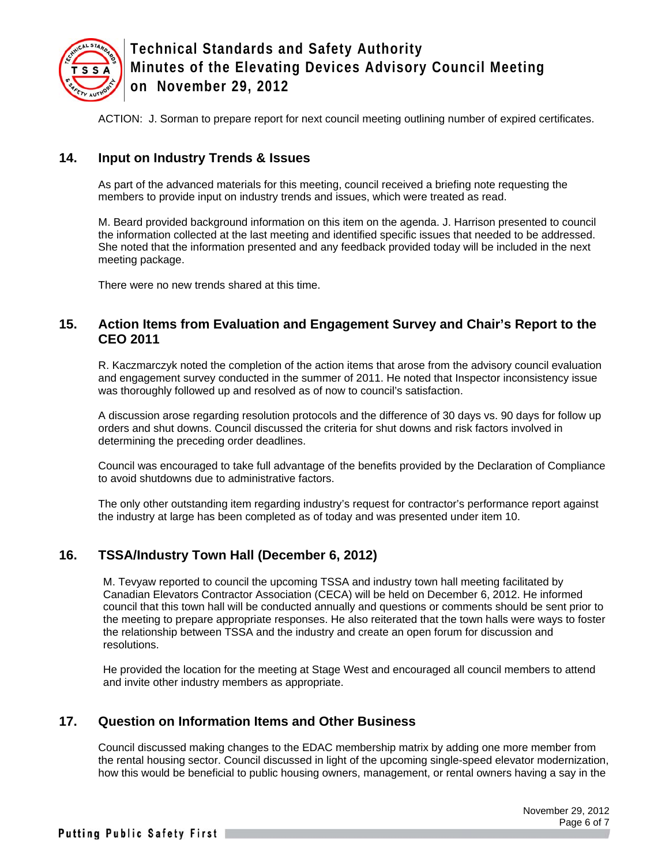

ACTION: J. Sorman to prepare report for next council meeting outlining number of expired certificates.

### **14. Input on Industry Trends & Issues**

As part of the advanced materials for this meeting, council received a briefing note requesting the members to provide input on industry trends and issues, which were treated as read.

M. Beard provided background information on this item on the agenda. J. Harrison presented to council the information collected at the last meeting and identified specific issues that needed to be addressed. She noted that the information presented and any feedback provided today will be included in the next meeting package.

There were no new trends shared at this time.

#### **15. Action Items from Evaluation and Engagement Survey and Chair's Report to the CEO 2011**

R. Kaczmarczyk noted the completion of the action items that arose from the advisory council evaluation and engagement survey conducted in the summer of 2011. He noted that Inspector inconsistency issue was thoroughly followed up and resolved as of now to council's satisfaction.

A discussion arose regarding resolution protocols and the difference of 30 days vs. 90 days for follow up orders and shut downs. Council discussed the criteria for shut downs and risk factors involved in determining the preceding order deadlines.

Council was encouraged to take full advantage of the benefits provided by the Declaration of Compliance to avoid shutdowns due to administrative factors.

The only other outstanding item regarding industry's request for contractor's performance report against the industry at large has been completed as of today and was presented under item 10.

### **16. TSSA/Industry Town Hall (December 6, 2012)**

M. Tevyaw reported to council the upcoming TSSA and industry town hall meeting facilitated by Canadian Elevators Contractor Association (CECA) will be held on December 6, 2012. He informed council that this town hall will be conducted annually and questions or comments should be sent prior to the meeting to prepare appropriate responses. He also reiterated that the town halls were ways to foster the relationship between TSSA and the industry and create an open forum for discussion and resolutions.

He provided the location for the meeting at Stage West and encouraged all council members to attend and invite other industry members as appropriate.

### **17. Question on Information Items and Other Business**

Council discussed making changes to the EDAC membership matrix by adding one more member from the rental housing sector. Council discussed in light of the upcoming single-speed elevator modernization, how this would be beneficial to public housing owners, management, or rental owners having a say in the